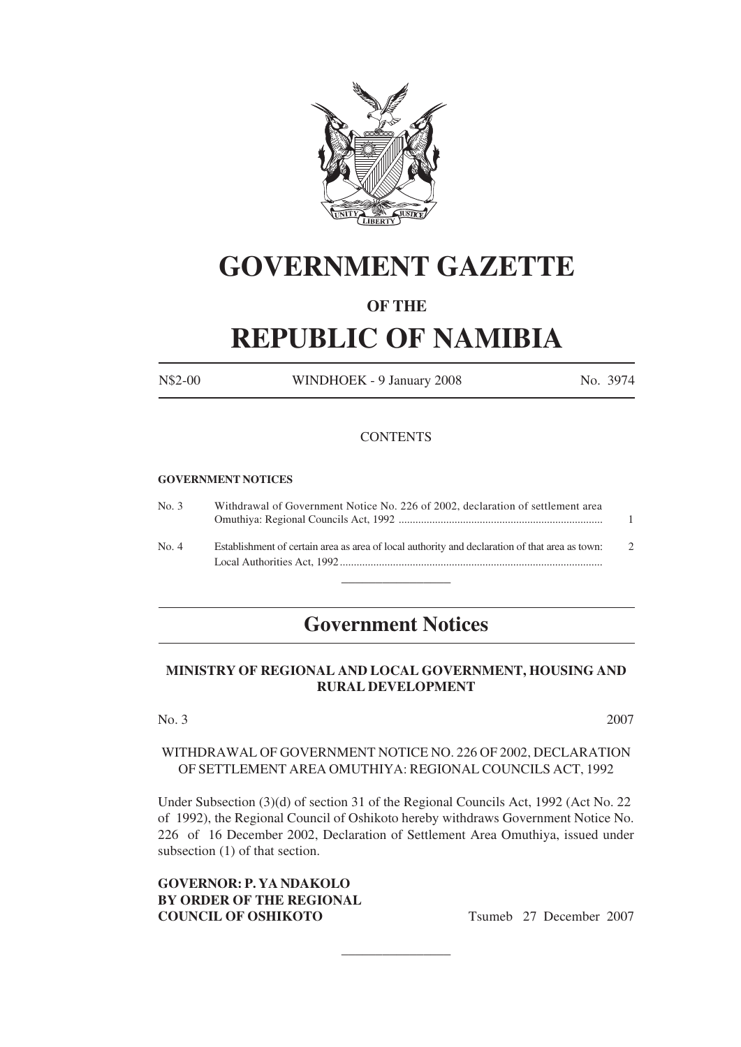

# **GOVERNMENT GAZETTE**

## **OF THE**

# **REPUBLIC OF NAMIBIA**

N\$2-00

WINDHOEK - 9 January 2008

No. 3974

#### **CONTENTS**

#### **GOVERNMENT NOTICES**

| No. 3                                  | Withdrawal of Government Notice No. 226 of 2002, declaration of settlement area                                                                                                                                                         |  |
|----------------------------------------|-----------------------------------------------------------------------------------------------------------------------------------------------------------------------------------------------------------------------------------------|--|
|                                        |                                                                                                                                                                                                                                         |  |
| $\mathbf{N}$ $\mathbf{L}$ $\mathbf{A}$ | $\Gamma_{\rm crit}$ , the following of contribution of the contract of the contracted of the contracted of the contracted on the contracted of the contracted on the contracted of the contracted of the contracted of the contracted o |  |

Establishment of certain area as area of local authority and declaration of that area as town: No. 4 

# **Government Notices**

### MINISTRY OF REGIONAL AND LOCAL GOVERNMENT, HOUSING AND **RURAL DEVELOPMENT**

 $No. 3$ 

2007

#### WITHDRAWAL OF GOVERNMENT NOTICE NO. 226 OF 2002, DECLARATION OF SETTLEMENT AREA OMUTHIYA: REGIONAL COUNCILS ACT, 1992

Under Subsection  $(3)(d)$  of section 31 of the Regional Councils Act, 1992 (Act No. 22) of 1992), the Regional Council of Oshikoto hereby withdraws Government Notice No. 226 of 16 December 2002, Declaration of Settlement Area Omuthiya, issued under subsection (1) of that section.

#### **GOVERNOR: P. YA NDAKOLO BY ORDER OF THE REGIONAL COUNCIL OF OSHIKOTO**

Tsumeb 27 December 2007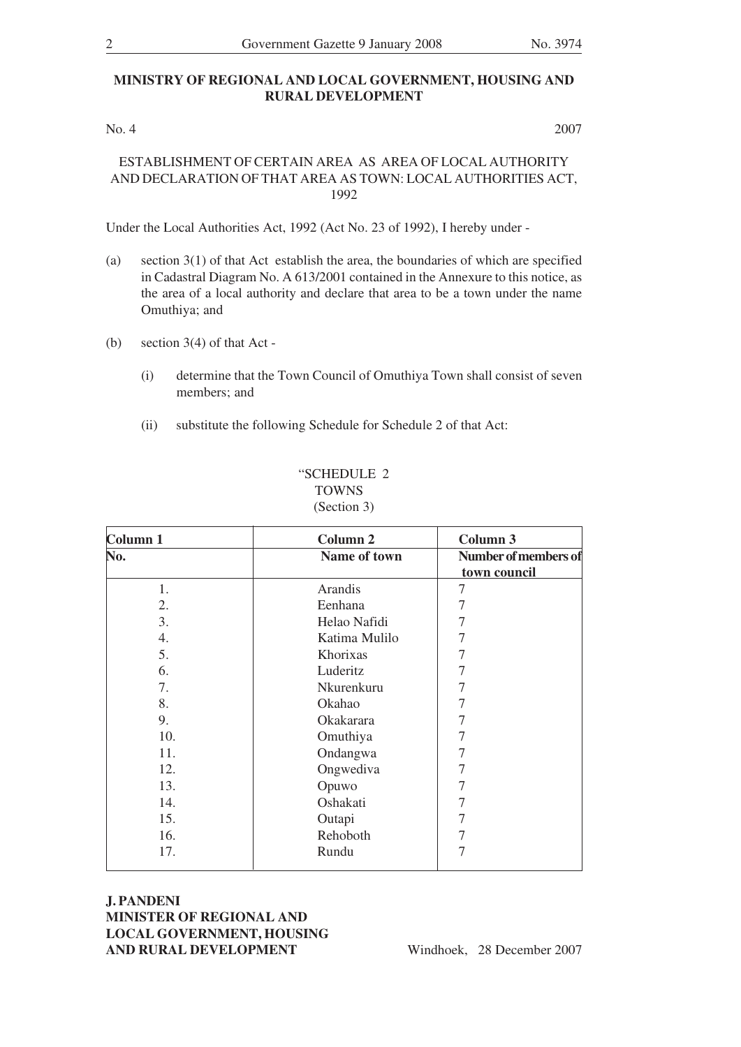#### MINISTRY OF REGIONAL AND LOCAL GOVERNMENT, HOUSING AND **RURAL DEVELOPMENT**

#### No. 4

2007

ESTABLISHMENT OF CERTAIN AREA AS AREA OF LOCAL AUTHORITY AND DECLARATION OF THAT AREA AS TOWN: LOCAL AUTHORITIES ACT, 1992

Under the Local Authorities Act, 1992 (Act No. 23 of 1992), I hereby under -

- $(a)$ section  $3(1)$  of that Act establish the area, the boundaries of which are specified in Cadastral Diagram No. A 613/2001 contained in the Annexure to this notice, as the area of a local authority and declare that area to be a town under the name Omuthiya; and
- $(b)$ section  $3(4)$  of that Act -
	- $(i)$ determine that the Town Council of Omuthiya Town shall consist of seven members: and
	- substitute the following Schedule for Schedule 2 of that Act:  $(ii)$

| Column 1 | Column 2      | Column 3<br>Number of members of |  |
|----------|---------------|----------------------------------|--|
| No.      | Name of town  |                                  |  |
|          |               | town council                     |  |
| 1.       | Arandis       |                                  |  |
| 2.       | Eenhana       |                                  |  |
| 3.       | Helao Nafidi  |                                  |  |
| 4.       | Katima Mulilo |                                  |  |
| 5.       | Khorixas      |                                  |  |
| 6.       | Luderitz      |                                  |  |
| 7.       | Nkurenkuru    |                                  |  |
| 8.       | Okahao        |                                  |  |
| 9.       | Okakarara     |                                  |  |
| 10.      | Omuthiya      |                                  |  |
| 11.      | Ondangwa      |                                  |  |
| 12.      | Ongwediva     |                                  |  |
| 13.      | Opuwo         |                                  |  |
| 14.      | Oshakati      |                                  |  |
| 15.      | Outapi        |                                  |  |
| 16.      | Rehoboth      |                                  |  |
| 17.      | Rundu         |                                  |  |
|          |               |                                  |  |

### "SCHEDULE 2 **TOWNS** (Section 3)

### **J. PANDENI MINISTER OF REGIONAL AND LOCAL GOVERNMENT, HOUSING** AND RURAL DEVELOPMENT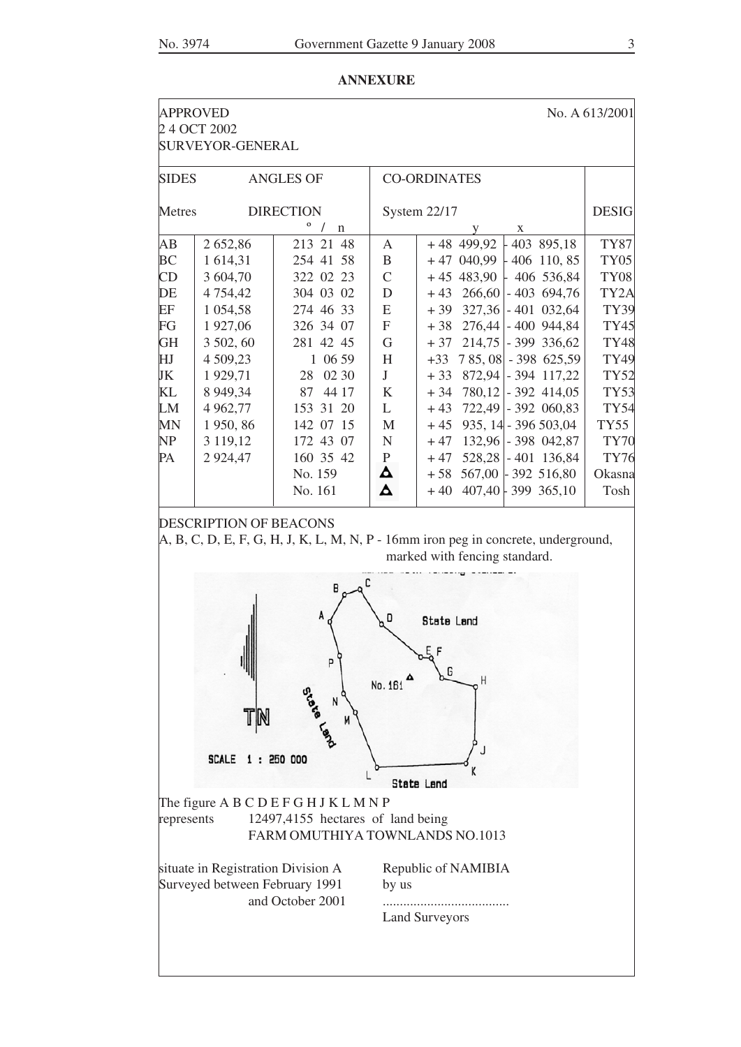#### $\mathfrak{Z}$

#### **ANNEXURE**

| <b>APPROVED</b>                                       |                                  |                  | No. A 613/2001 |                                                                                      |                   |  |  |  |  |  |  |
|-------------------------------------------------------|----------------------------------|------------------|----------------|--------------------------------------------------------------------------------------|-------------------|--|--|--|--|--|--|
|                                                       | 2 4 OCT 2002<br>SURVEYOR-GENERAL |                  |                |                                                                                      |                   |  |  |  |  |  |  |
| <b>SIDES</b>                                          |                                  | <b>ANGLES OF</b> |                | <b>CO-ORDINATES</b>                                                                  |                   |  |  |  |  |  |  |
| <b>DIRECTION</b><br>Metres<br>$\prime$<br>$\mathbf n$ |                                  | System 22/17     |                | <b>DESIG</b>                                                                         |                   |  |  |  |  |  |  |
| AВ                                                    | 2 652,86                         | 213 21 48        | $\mathbf{A}$   | y<br>X<br>$+48$ 499,92 $\vert$<br>403 895,18                                         | <b>TY87</b>       |  |  |  |  |  |  |
| BC                                                    | 1614,31                          | 254 41 58        | $\mathbf{B}$   | $+47$ 040,99 $+406$ 110,85                                                           | <b>TY05</b>       |  |  |  |  |  |  |
| CD                                                    | 3 604,70                         | 322 02 23        | $\mathcal{C}$  | $+45$ 483,90 $\div$ 406 536,84                                                       | <b>TY08</b>       |  |  |  |  |  |  |
| DE                                                    | 4 7 5 4 4 2                      | 304 03 02        | D              | $266,60$ - 403 694,76<br>$+43$                                                       | TY <sub>2</sub> A |  |  |  |  |  |  |
| EF                                                    | 1 0 54, 58                       | 274 46 33        | E              | $327,36$ - 401 032,64<br>$+39$                                                       | <b>TY39</b>       |  |  |  |  |  |  |
| FG                                                    | 1927,06                          | 326 34 07        | ${\bf F}$      | $276,44$ - 400 944,84<br>$+38$                                                       | <b>TY45</b>       |  |  |  |  |  |  |
| <b>GH</b>                                             | 3 502, 60                        | 281 42 45        | G              | $214,75$ - 399 336,62<br>$+37$                                                       | <b>TY48</b>       |  |  |  |  |  |  |
| HJ                                                    | 4 509,23                         | 1 06 59          | H              | $+33$ 7 85, 08 - 398 625, 59                                                         | <b>TY49</b>       |  |  |  |  |  |  |
| JK                                                    | 1929,71                          | 28 02 30         | J              | $+33$ 872,94 - 394 117,22                                                            | <b>TY52</b>       |  |  |  |  |  |  |
| KL                                                    | 8 9 4 9 , 3 4                    | 87 44 17         | $\rm K$        | 780,12 - 392 414,05<br>$+34$                                                         | <b>TY53</b>       |  |  |  |  |  |  |
| LM                                                    | 4 9 62, 77                       | 153 31 20        | L              | $+43$<br>$722,49$ - 392 060,83                                                       | <b>TY54</b>       |  |  |  |  |  |  |
| MN                                                    | 1950, 86                         | 142 07 15        | M              | 935, 14 - 396 503,04<br>$+45$                                                        | <b>TY55</b>       |  |  |  |  |  |  |
| NP                                                    | 3 119,12                         | 172 43 07        | $\mathbf N$    | 132,96 - 398 042,87<br>$+47$                                                         | <b>TY70</b>       |  |  |  |  |  |  |
| PA                                                    | 2924,47                          | 160 35 42        | $\mathbf{P}$   | $+47$<br>$528,28$ - 401 136,84                                                       | <b>TY76</b>       |  |  |  |  |  |  |
|                                                       |                                  | No. 159          | Δ              | $567,00$ - 392 516,80<br>$+58$                                                       | Okasna            |  |  |  |  |  |  |
|                                                       |                                  | No. 161          | Δ              | $407,40$ 399 365,10<br>$+40$                                                         | Tosh              |  |  |  |  |  |  |
|                                                       | <b>DESCRIPTION OF BEACONS</b>    |                  |                |                                                                                      |                   |  |  |  |  |  |  |
|                                                       |                                  |                  |                | $A, B, C, D, E, F, G, H, J, K, L, M, N, P - 16mm$ iron peg in concrete, underground, |                   |  |  |  |  |  |  |
|                                                       | marked with fencing standard.    |                  |                |                                                                                      |                   |  |  |  |  |  |  |
|                                                       |                                  | в                |                |                                                                                      |                   |  |  |  |  |  |  |
|                                                       |                                  |                  |                |                                                                                      |                   |  |  |  |  |  |  |
|                                                       |                                  | A                | υ              | <b>State Land</b>                                                                    |                   |  |  |  |  |  |  |
|                                                       |                                  |                  |                |                                                                                      |                   |  |  |  |  |  |  |
|                                                       |                                  | p                |                |                                                                                      |                   |  |  |  |  |  |  |
|                                                       |                                  |                  |                |                                                                                      |                   |  |  |  |  |  |  |

No. 161 **979.55 Talgo** SCALE 1 : 250 000 L **State Land** The figure A B C D E F G H J K L M N P represents 12497,4155 hectares of land being FARM OMUTHIYA TOWNLANDS NO.1013 situate in Registration Division A Republic of NAMIBIA Surveyed between February 1991 by us and October 2001

..................................... **Land Surveyors**